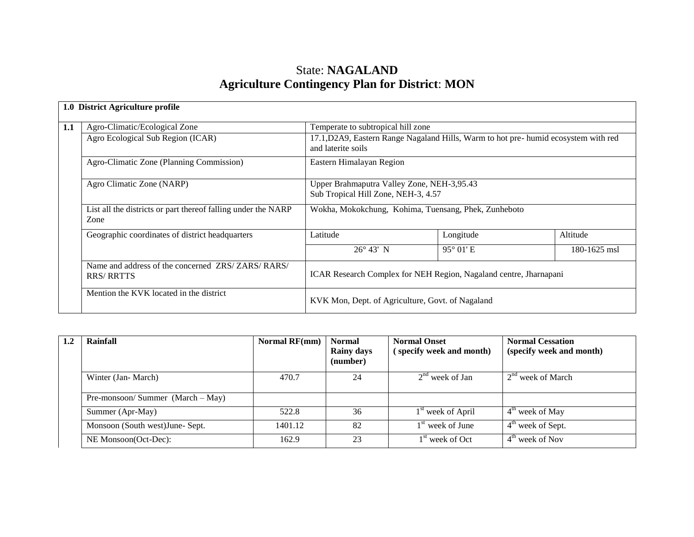## State: **NAGALAND Agriculture Contingency Plan for District**: **MON**

| 1.0 | <b>District Agriculture profile</b>                                   |                                                                                                          |                    |              |  |  |
|-----|-----------------------------------------------------------------------|----------------------------------------------------------------------------------------------------------|--------------------|--------------|--|--|
| 1.1 | Agro-Climatic/Ecological Zone                                         | Temperate to subtropical hill zone                                                                       |                    |              |  |  |
|     | Agro Ecological Sub Region (ICAR)                                     | 17.1, D2A9, Eastern Range Nagaland Hills, Warm to hot pre-humid ecosystem with red<br>and laterite soils |                    |              |  |  |
|     | Agro-Climatic Zone (Planning Commission)                              | Eastern Himalayan Region                                                                                 |                    |              |  |  |
|     | Agro Climatic Zone (NARP)                                             | Upper Brahmaputra Valley Zone, NEH-3,95.43<br>Sub Tropical Hill Zone, NEH-3, 4.57                        |                    |              |  |  |
|     | List all the districts or part thereof falling under the NARP<br>Zone | Wokha, Mokokchung, Kohima, Tuensang, Phek, Zunheboto                                                     |                    |              |  |  |
|     | Geographic coordinates of district headquarters                       | Latitude                                                                                                 | Longitude          | Altitude     |  |  |
|     |                                                                       | $26^{\circ} 43' N$                                                                                       | $95^{\circ}$ 01' E | 180-1625 msl |  |  |
|     | Name and address of the concerned ZRS/ZARS/RARS/<br><b>RRS/RRTTS</b>  | ICAR Research Complex for NEH Region, Nagaland centre, Jharnapani                                        |                    |              |  |  |
|     | Mention the KVK located in the district                               | KVK Mon, Dept. of Agriculture, Govt. of Nagaland                                                         |                    |              |  |  |

| Rainfall                           | Normal RF(mm) | <b>Normal</b><br><b>Rainy days</b><br>(number) | <b>Normal Onset</b><br>(specify week and month) | <b>Normal Cessation</b><br>(specify week and month) |
|------------------------------------|---------------|------------------------------------------------|-------------------------------------------------|-----------------------------------------------------|
| Winter (Jan-March)                 | 470.7         | 24                                             | $2nd$ week of Jan                               | 2 <sup>nd</sup> week of March                       |
| Pre-monsoon/Summer $(March - May)$ |               |                                                |                                                 |                                                     |
| Summer (Apr-May)                   | 522.8         | 36                                             | 1 <sup>st</sup> week of April                   | $4th$ week of May                                   |
| Monsoon (South west) June- Sept.   | 1401.12       | 82                                             | $1st$ week of June                              | $4th$ week of Sept.                                 |
| NE Monsoon(Oct-Dec):               | 162.9         | 23                                             | $1st$ week of Oct                               | $4th$ week of Nov                                   |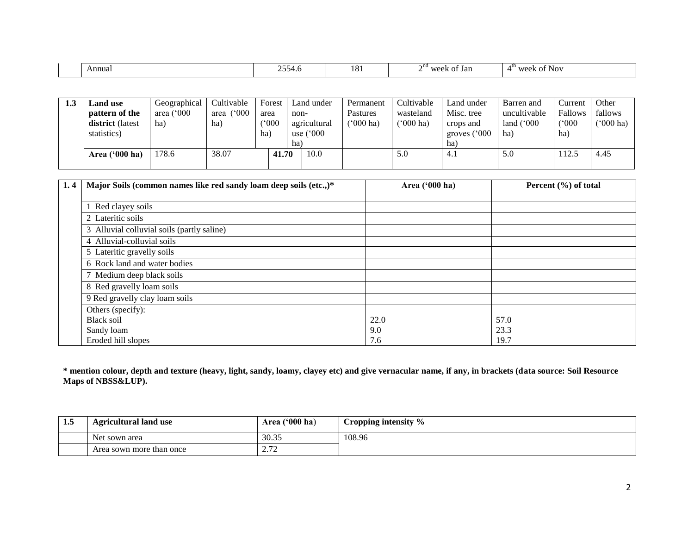| 5.55<br>$\sim$ III.<br>Annual<br>t Jan<br>----<br>$U \cap \Delta V$<br>יר ור<br>10 <sub>1</sub><br>$\sim$<br>NU.<br>$\mathbf{U}$<br>4997.U |  |  |  |
|--------------------------------------------------------------------------------------------------------------------------------------------|--|--|--|
|                                                                                                                                            |  |  |  |

| 1.3 | <b>Land use</b><br>pattern of the<br><b>district</b> (latest<br>statistics) | Geographical<br>area $(^{\circ}000$<br>ha) | Cultivable<br>(000)<br>area<br>ha) | Forest<br>area<br>$^{\circ}000$<br>ha | non-<br>ha) | Land under<br>agricultural<br>use $(^{\circ}000$ | Permanent<br>Pastures<br>('000 ha) | Cultivable<br>wasteland<br>$(000 \text{ ha})$ | Land under<br>Misc. tree<br>crops and<br>groves ('000<br>ha) | Barren and<br>uncultivable<br>land $(^{\circ}000$<br>ha | Current<br>Fallows<br>(°000)<br>ha) | Other<br>fallows<br>$(000 \text{ ha})$ |
|-----|-----------------------------------------------------------------------------|--------------------------------------------|------------------------------------|---------------------------------------|-------------|--------------------------------------------------|------------------------------------|-----------------------------------------------|--------------------------------------------------------------|---------------------------------------------------------|-------------------------------------|----------------------------------------|
|     | Area ('000 ha)                                                              | 178.6                                      | 38.07                              | 41.70                                 | 10.0        |                                                  |                                    | 5.0                                           | 4.1                                                          | 5.0                                                     | 112.5                               | 4.45                                   |

| 1, 4 | Major Soils (common names like red sandy loam deep soils (etc.,)* | Area ('000 ha) | Percent (%) of total |
|------|-------------------------------------------------------------------|----------------|----------------------|
|      |                                                                   |                |                      |
|      | Red clayey soils                                                  |                |                      |
|      | 2 Lateritic soils                                                 |                |                      |
|      | 3 Alluvial colluvial soils (partly saline)                        |                |                      |
|      | 4 Alluvial-colluvial soils                                        |                |                      |
|      | 5 Lateritic gravelly soils                                        |                |                      |
|      | 6 Rock land and water bodies                                      |                |                      |
|      | 7 Medium deep black soils                                         |                |                      |
|      | 8 Red gravelly loam soils                                         |                |                      |
|      | 9 Red gravelly clay loam soils                                    |                |                      |
|      | Others (specify):                                                 |                |                      |
|      | <b>Black soil</b>                                                 | 22.0           | 57.0                 |
|      | Sandy loam                                                        | 9.0            | 23.3                 |
|      | Eroded hill slopes                                                | 7.6            | 19.7                 |

**\* mention colour, depth and texture (heavy, light, sandy, loamy, clayey etc) and give vernacular name, if any, in brackets (data source: Soil Resource Maps of NBSS&LUP).**

| 1.5 | <b>Agricultural land use</b>        | Area $(900 \text{ ha})$                   | Cropping intensity $\%$ |
|-----|-------------------------------------|-------------------------------------------|-------------------------|
|     | $\mathbf{v}$<br>Net.<br>t sown area | 30.35                                     | 108.96                  |
|     | Area sown more than once            | $\sim$<br>$\overline{a}$ . $\overline{b}$ |                         |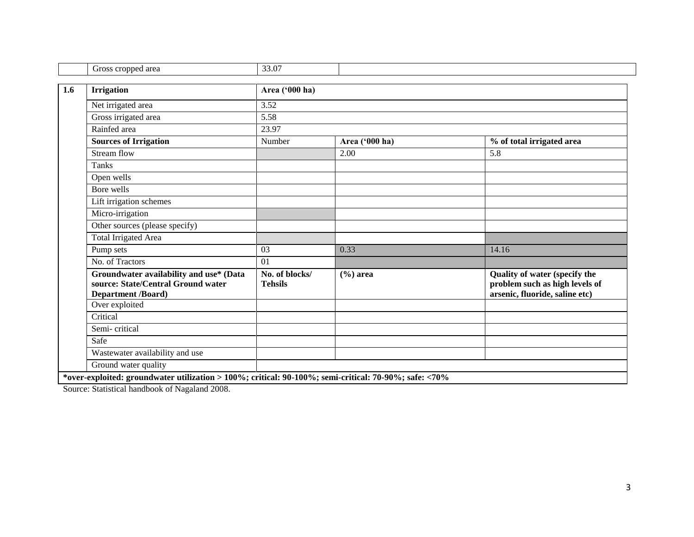| Gross cropped area                                                                                         | 33.07                            |                |                                                                                                   |  |  |  |  |
|------------------------------------------------------------------------------------------------------------|----------------------------------|----------------|---------------------------------------------------------------------------------------------------|--|--|--|--|
| <b>Irrigation</b>                                                                                          | Area ('000 ha)                   |                |                                                                                                   |  |  |  |  |
| Net irrigated area                                                                                         | 3.52                             |                |                                                                                                   |  |  |  |  |
| Gross irrigated area                                                                                       | 5.58                             |                |                                                                                                   |  |  |  |  |
| Rainfed area                                                                                               | 23.97                            |                |                                                                                                   |  |  |  |  |
| <b>Sources of Irrigation</b>                                                                               | Number                           | Area ('000 ha) | % of total irrigated area                                                                         |  |  |  |  |
| Stream flow                                                                                                |                                  | 2.00           | 5.8                                                                                               |  |  |  |  |
| Tanks                                                                                                      |                                  |                |                                                                                                   |  |  |  |  |
| Open wells                                                                                                 |                                  |                |                                                                                                   |  |  |  |  |
| Bore wells                                                                                                 |                                  |                |                                                                                                   |  |  |  |  |
| Lift irrigation schemes                                                                                    |                                  |                |                                                                                                   |  |  |  |  |
| Micro-irrigation                                                                                           |                                  |                |                                                                                                   |  |  |  |  |
| Other sources (please specify)                                                                             |                                  |                |                                                                                                   |  |  |  |  |
| <b>Total Irrigated Area</b>                                                                                |                                  |                |                                                                                                   |  |  |  |  |
| Pump sets                                                                                                  | 03                               | 0.33           | 14.16                                                                                             |  |  |  |  |
| No. of Tractors                                                                                            | 01                               |                |                                                                                                   |  |  |  |  |
| Groundwater availability and use* (Data<br>source: State/Central Ground water<br><b>Department /Board)</b> | No. of blocks/<br><b>Tehsils</b> | $(\% )$ area   | Quality of water (specify the<br>problem such as high levels of<br>arsenic, fluoride, saline etc) |  |  |  |  |
| Over exploited                                                                                             |                                  |                |                                                                                                   |  |  |  |  |
| Critical                                                                                                   |                                  |                |                                                                                                   |  |  |  |  |
| Semi-critical                                                                                              |                                  |                |                                                                                                   |  |  |  |  |
| Safe                                                                                                       |                                  |                |                                                                                                   |  |  |  |  |
| Wastewater availability and use                                                                            |                                  |                |                                                                                                   |  |  |  |  |
| Ground water quality                                                                                       |                                  |                |                                                                                                   |  |  |  |  |

Source: Statistical handbook of Nagaland 2008.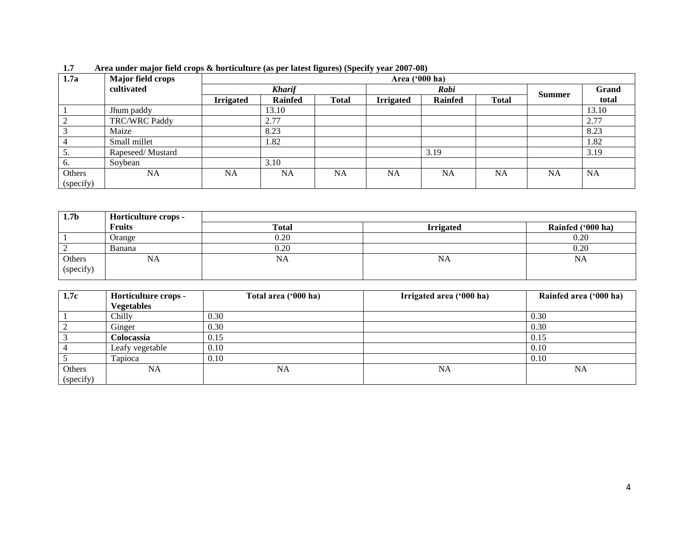| 1.7a      | .<br><b>Major field crops</b> | $\mathbf{\Xi}$<br>.<br>Area ('000 ha) |                |              |                  |                |              |               |           |
|-----------|-------------------------------|---------------------------------------|----------------|--------------|------------------|----------------|--------------|---------------|-----------|
|           | cultivated                    | <b>Kharif</b>                         |                |              | Rabi             |                |              | <b>Summer</b> | Grand     |
|           |                               | <b>Irrigated</b>                      | <b>Rainfed</b> | <b>Total</b> | <b>Irrigated</b> | <b>Rainfed</b> | <b>Total</b> |               | total     |
|           | Jhum paddy                    |                                       | 13.10          |              |                  |                |              |               | 13.10     |
|           | <b>TRC/WRC Paddy</b>          |                                       | 2.77           |              |                  |                |              |               | 2.77      |
|           | Maize                         |                                       | 8.23           |              |                  |                |              |               | 8.23      |
|           | Small millet                  |                                       | 1.82           |              |                  |                |              |               | 1.82      |
|           | Rapeseed/Mustard              |                                       |                |              |                  | 3.19           |              |               | 3.19      |
| 6.        | Soybean                       |                                       | 3.10           |              |                  |                |              |               |           |
| Others    | <b>NA</b>                     | <b>NA</b>                             | <b>NA</b>      | <b>NA</b>    | <b>NA</b>        | <b>NA</b>      | <b>NA</b>    | NA            | <b>NA</b> |
| (specify) |                               |                                       |                |              |                  |                |              |               |           |

**1.7 Area under major field crops & horticulture (as per latest figures) (Specify year 2007-08)** 

| 1.7 <sub>b</sub>    | Horticulture crops - |              |                  |                   |
|---------------------|----------------------|--------------|------------------|-------------------|
|                     | <b>Fruits</b>        | <b>Total</b> | <b>Irrigated</b> | Rainfed ('000 ha) |
|                     | Orange               | 0.20         |                  | 0.20              |
|                     | Banana               | 0.20         |                  | 0.20              |
| Others<br>(specify) | NA                   | NA           | NA               | <b>NA</b>         |

| 1.7c      | Horticulture crops - | Total area ('000 ha) | Irrigated area ('000 ha) | Rainfed area ('000 ha) |
|-----------|----------------------|----------------------|--------------------------|------------------------|
|           | <b>Vegetables</b>    |                      |                          |                        |
|           | Chilly               | 0.30                 |                          | 0.30                   |
|           | Ginger               | 0.30                 |                          | 0.30                   |
|           | <b>Colocassia</b>    | 0.15                 |                          | 0.15                   |
|           | Leafy vegetable      | 0.10                 |                          | 0.10                   |
|           | Tapioca              | 0.10                 |                          | 0.10                   |
| Others    | NA                   | <b>NA</b>            | <b>NA</b>                | <b>NA</b>              |
| (specify) |                      |                      |                          |                        |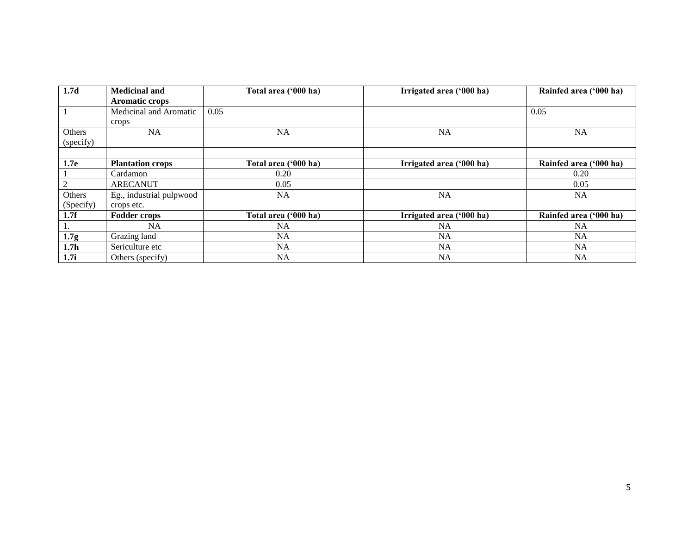| 1.7 <sub>d</sub> | <b>Medicinal and</b>     | Total area ('000 ha) | Irrigated area ('000 ha) | Rainfed area ('000 ha) |
|------------------|--------------------------|----------------------|--------------------------|------------------------|
|                  | <b>Aromatic crops</b>    |                      |                          |                        |
|                  | Medicinal and Aromatic   | 0.05                 |                          | 0.05                   |
|                  | crops                    |                      |                          |                        |
| Others           | NA                       | <b>NA</b>            | <b>NA</b>                | <b>NA</b>              |
| (specify)        |                          |                      |                          |                        |
|                  |                          |                      |                          |                        |
| 1.7e             | <b>Plantation crops</b>  | Total area ('000 ha) | Irrigated area ('000 ha) | Rainfed area ('000 ha) |
|                  | Cardamon                 | 0.20                 |                          | 0.20                   |
|                  | <b>ARECANUT</b>          | 0.05                 |                          | 0.05                   |
| Others           | Eg., industrial pulpwood | <b>NA</b>            | <b>NA</b>                | <b>NA</b>              |
| (Specify)        | crops etc.               |                      |                          |                        |
| 1.7f             | <b>Fodder crops</b>      | Total area ('000 ha) | Irrigated area ('000 ha) | Rainfed area ('000 ha) |
|                  | <b>NA</b>                | <b>NA</b>            | <b>NA</b>                | <b>NA</b>              |
| 1.7 <sub>g</sub> | Grazing land             | <b>NA</b>            | <b>NA</b>                | <b>NA</b>              |
| 1.7 <sub>h</sub> | Sericulture etc          | <b>NA</b>            | <b>NA</b>                | <b>NA</b>              |
| 1.7i             | Others (specify)         | <b>NA</b>            | <b>NA</b>                | <b>NA</b>              |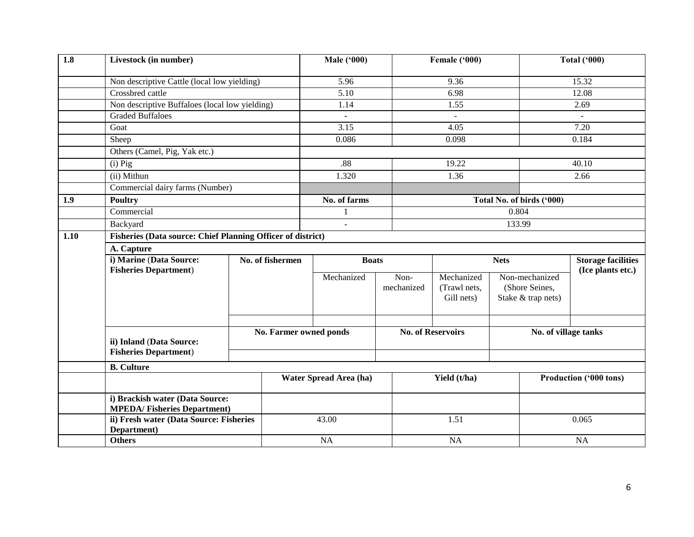| 1.8  | Livestock (in number)                                                                                                                                                                                                                                                                                                                                              |  |                        | <b>Male ('000)</b>     |            | Female ('000)            |       |                           | <b>Total ('000)</b>       |
|------|--------------------------------------------------------------------------------------------------------------------------------------------------------------------------------------------------------------------------------------------------------------------------------------------------------------------------------------------------------------------|--|------------------------|------------------------|------------|--------------------------|-------|---------------------------|---------------------------|
|      |                                                                                                                                                                                                                                                                                                                                                                    |  |                        | 5.96                   |            | 9.36                     |       |                           | 15.32                     |
|      | Crossbred cattle                                                                                                                                                                                                                                                                                                                                                   |  |                        | 5.10                   |            | 6.98                     |       |                           | 12.08                     |
|      |                                                                                                                                                                                                                                                                                                                                                                    |  |                        | 1.14                   |            | 1.55                     |       |                           | 2.69                      |
|      | <b>Graded Buffaloes</b>                                                                                                                                                                                                                                                                                                                                            |  |                        | $\equiv$               |            |                          |       |                           | $\blacksquare$            |
|      | Goat                                                                                                                                                                                                                                                                                                                                                               |  |                        | 3.15                   |            | 4.05                     |       |                           | 7.20                      |
|      | Sheep                                                                                                                                                                                                                                                                                                                                                              |  |                        | 0.086                  |            | 0.098                    |       | 0.184                     |                           |
|      | Others (Camel, Pig, Yak etc.)                                                                                                                                                                                                                                                                                                                                      |  |                        |                        |            |                          |       |                           |                           |
|      | Non descriptive Cattle (local low yielding)<br>Non descriptive Buffaloes (local low yielding)<br>$(i)$ Pig<br>(ii) Mithun<br>Commercial dairy farms (Number)<br><b>Poultry</b><br>Commercial<br>Backyard<br>A. Capture<br>i) Marine (Data Source:<br><b>Fisheries Department)</b><br>ii) Inland (Data Source:<br><b>Fisheries Department)</b><br><b>B.</b> Culture |  |                        | .88                    |            | 19.22                    |       |                           | 40.10                     |
|      |                                                                                                                                                                                                                                                                                                                                                                    |  |                        | 1.320                  |            | 1.36                     |       |                           | 2.66                      |
|      |                                                                                                                                                                                                                                                                                                                                                                    |  |                        |                        |            |                          |       |                           |                           |
| 1.9  |                                                                                                                                                                                                                                                                                                                                                                    |  |                        | No. of farms           |            |                          |       | Total No. of birds ('000) |                           |
|      |                                                                                                                                                                                                                                                                                                                                                                    |  |                        | $\mathbf{1}$           |            |                          | 0.804 |                           |                           |
|      |                                                                                                                                                                                                                                                                                                                                                                    |  |                        | $\overline{a}$         |            |                          |       | 133.99                    |                           |
| 1.10 | Fisheries (Data source: Chief Planning Officer of district)                                                                                                                                                                                                                                                                                                        |  |                        |                        |            |                          |       |                           |                           |
|      |                                                                                                                                                                                                                                                                                                                                                                    |  |                        |                        |            |                          |       |                           |                           |
|      | No. of fishermen                                                                                                                                                                                                                                                                                                                                                   |  |                        | <b>Boats</b>           |            | <b>Nets</b>              |       |                           | <b>Storage facilities</b> |
|      |                                                                                                                                                                                                                                                                                                                                                                    |  |                        | Mechanized             | Non-       | Mechanized               |       | Non-mechanized            | (Ice plants etc.)         |
|      |                                                                                                                                                                                                                                                                                                                                                                    |  |                        |                        | mechanized | (Trawl nets,             |       | (Shore Seines,            |                           |
|      |                                                                                                                                                                                                                                                                                                                                                                    |  |                        |                        |            | Gill nets)               |       | Stake & trap nets)        |                           |
|      |                                                                                                                                                                                                                                                                                                                                                                    |  |                        |                        |            |                          |       |                           |                           |
|      |                                                                                                                                                                                                                                                                                                                                                                    |  |                        |                        |            |                          |       |                           |                           |
|      |                                                                                                                                                                                                                                                                                                                                                                    |  | No. Farmer owned ponds |                        |            | <b>No. of Reservoirs</b> |       | No. of village tanks      |                           |
|      |                                                                                                                                                                                                                                                                                                                                                                    |  |                        |                        |            |                          |       |                           |                           |
|      |                                                                                                                                                                                                                                                                                                                                                                    |  |                        |                        |            |                          |       |                           |                           |
|      |                                                                                                                                                                                                                                                                                                                                                                    |  |                        |                        |            |                          |       |                           |                           |
|      |                                                                                                                                                                                                                                                                                                                                                                    |  |                        | Water Spread Area (ha) |            | Yield (t/ha)             |       |                           | Production ('000 tons)    |
|      | i) Brackish water (Data Source:<br><b>MPEDA/Fisheries Department)</b>                                                                                                                                                                                                                                                                                              |  |                        |                        |            |                          |       |                           |                           |
|      | ii) Fresh water (Data Source: Fisheries<br>Department)                                                                                                                                                                                                                                                                                                             |  |                        | 43.00                  |            | 1.51                     |       |                           | 0.065                     |
|      | <b>Others</b>                                                                                                                                                                                                                                                                                                                                                      |  |                        | NA                     |            | <b>NA</b>                |       |                           | NA                        |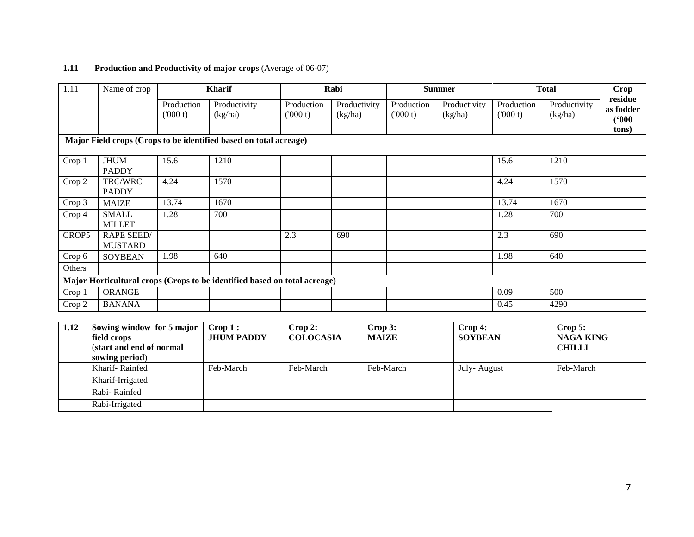## **1.11 Production and Productivity of major crops** (Average of 06-07)

| 1.11   | Name of crop                                                              |                       | <b>Kharif</b>                                                     |                       | Rabi                    |                       | <b>Summer</b>           |                       | <b>Total</b>            | Crop                                   |
|--------|---------------------------------------------------------------------------|-----------------------|-------------------------------------------------------------------|-----------------------|-------------------------|-----------------------|-------------------------|-----------------------|-------------------------|----------------------------------------|
|        |                                                                           | Production<br>(000 t) | Productivity<br>(kg/ha)                                           | Production<br>(000 t) | Productivity<br>(kg/ha) | Production<br>(000 t) | Productivity<br>(kg/ha) | Production<br>(000 t) | Productivity<br>(kg/ha) | residue<br>as fodder<br>(000)<br>tons) |
|        |                                                                           |                       | Major Field crops (Crops to be identified based on total acreage) |                       |                         |                       |                         |                       |                         |                                        |
| Crop 1 | <b>JHUM</b><br><b>PADDY</b>                                               | 15.6                  | 1210                                                              |                       |                         |                       |                         | 15.6                  | 1210                    |                                        |
| Crop 2 | TRC/WRC<br><b>PADDY</b>                                                   | 4.24                  | 1570                                                              |                       |                         |                       |                         | 4.24                  | 1570                    |                                        |
| Crop 3 | <b>MAIZE</b>                                                              | 13.74                 | 1670                                                              |                       |                         |                       |                         | 13.74                 | 1670                    |                                        |
| Crop 4 | <b>SMALL</b><br><b>MILLET</b>                                             | 1.28                  | 700                                                               |                       |                         |                       |                         | 1.28                  | 700                     |                                        |
| CROP5  | <b>RAPE SEED/</b><br><b>MUSTARD</b>                                       |                       |                                                                   | 2.3                   | 690                     |                       |                         | 2.3                   | 690                     |                                        |
| Crop 6 | <b>SOYBEAN</b>                                                            | 1.98                  | 640                                                               |                       |                         |                       |                         | 1.98                  | 640                     |                                        |
| Others |                                                                           |                       |                                                                   |                       |                         |                       |                         |                       |                         |                                        |
|        | Major Horticultural crops (Crops to be identified based on total acreage) |                       |                                                                   |                       |                         |                       |                         |                       |                         |                                        |
| Crop 1 | <b>ORANGE</b>                                                             |                       |                                                                   |                       |                         |                       |                         | 0.09                  | 500                     |                                        |
| Crop 2 | <b>BANANA</b>                                                             |                       |                                                                   |                       |                         |                       |                         | 0.45                  | 4290                    |                                        |

| 1.12 | Sowing window for 5 major<br>field crops<br>(start and end of normal<br>sowing period) | $\mathbf{Crop}\,1$ :<br><b>JHUM PADDY</b> | Crop 2:<br><b>COLOCASIA</b> | Crop 3:<br><b>MAIZE</b> | $\bf{Crop 4:}$<br><b>SOYBEAN</b> | $\bf{Crop}$ 5:<br><b>NAGA KING</b><br><b>CHILLI</b> |
|------|----------------------------------------------------------------------------------------|-------------------------------------------|-----------------------------|-------------------------|----------------------------------|-----------------------------------------------------|
|      | Kharif-Rainfed                                                                         | Feb-March                                 | Feb-March                   | Feb-March               | July-August                      | Feb-March                                           |
|      | Kharif-Irrigated                                                                       |                                           |                             |                         |                                  |                                                     |
|      | Rabi-Rainfed                                                                           |                                           |                             |                         |                                  |                                                     |
|      | Rabi-Irrigated                                                                         |                                           |                             |                         |                                  |                                                     |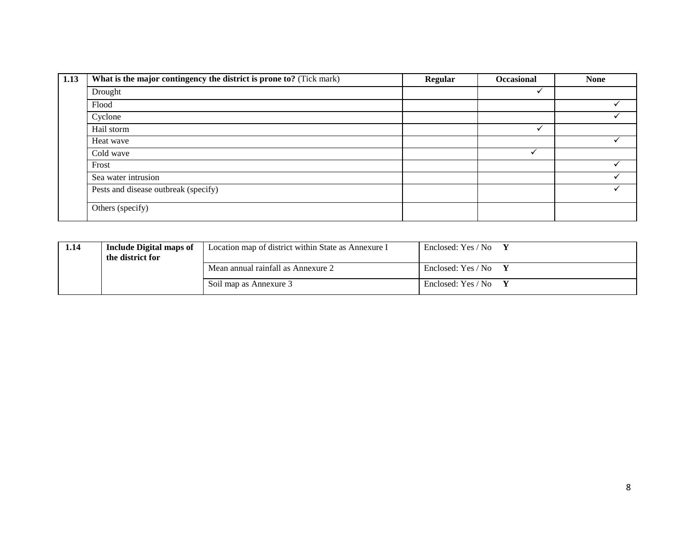| 1.13 | What is the major contingency the district is prone to? (Tick mark) | <b>Regular</b> | Occasional | <b>None</b> |
|------|---------------------------------------------------------------------|----------------|------------|-------------|
|      | Drought                                                             |                | v          |             |
|      | Flood                                                               |                |            |             |
|      | Cyclone                                                             |                |            |             |
|      | Hail storm                                                          |                |            |             |
|      | Heat wave                                                           |                |            |             |
|      | Cold wave                                                           |                |            |             |
|      | Frost                                                               |                |            |             |
|      | Sea water intrusion                                                 |                |            |             |
|      | Pests and disease outbreak (specify)                                |                |            |             |
|      | Others (specify)                                                    |                |            |             |

| l.14 | <b>Include Digital maps of</b><br>the district for | Location map of district within State as Annexure I | Enclosed: Yes / No |
|------|----------------------------------------------------|-----------------------------------------------------|--------------------|
|      |                                                    | Mean annual rainfall as Annexure 2                  | Enclosed: Yes / No |
|      |                                                    | Soil map as Annexure 3                              | Enclosed: Yes / No |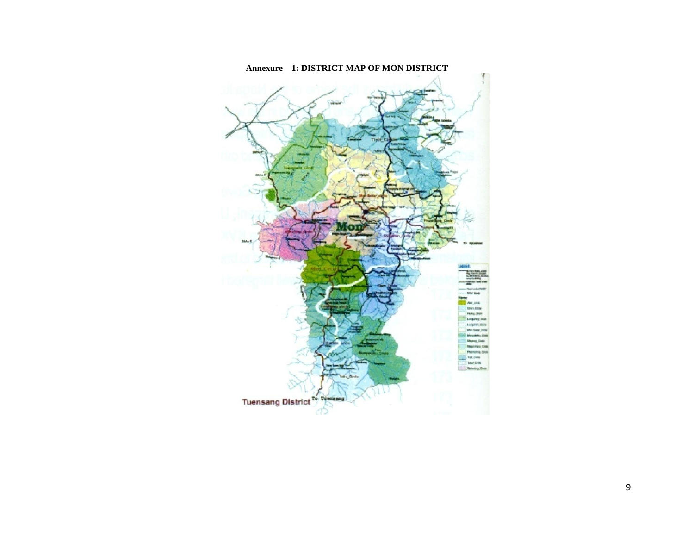

#### **Annexure – 1: DISTRICT MAP OF MON DISTRICT**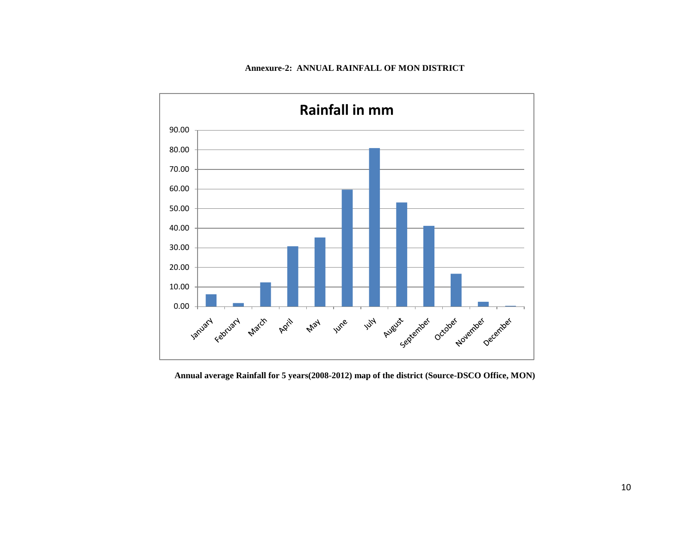#### **Annexure-2: ANNUAL RAINFALL OF MON DISTRICT**



**Annual average Rainfall for 5 years(2008-2012) map of the district (Source-DSCO Office, MON)**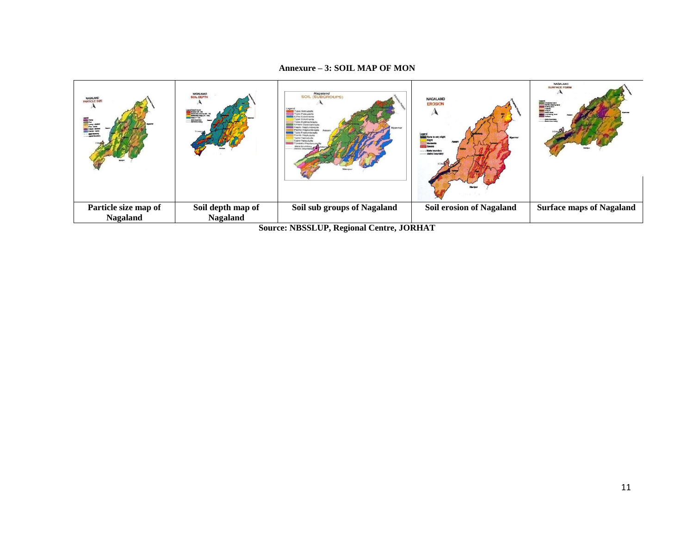#### **Annexure – 3: SOIL MAP OF MON**



**Source: NBSSLUP, Regional Centre, JORHAT**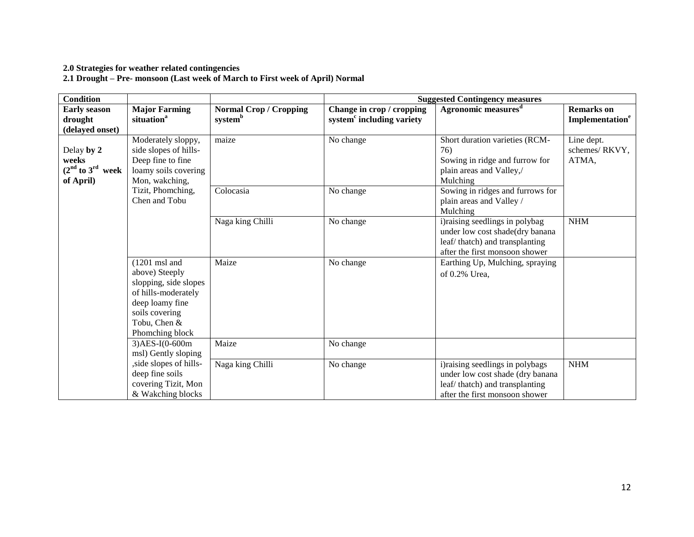### **2.0 Strategies for weather related contingencies**

**2.1 Drought – Pre- monsoon (Last week of March to First week of April) Normal**

| <b>Condition</b>                                         |                                                                                                                                                                   |                                                      | <b>Suggested Contingency measures</b>                              |                                                                                                                                         |                                                  |  |
|----------------------------------------------------------|-------------------------------------------------------------------------------------------------------------------------------------------------------------------|------------------------------------------------------|--------------------------------------------------------------------|-----------------------------------------------------------------------------------------------------------------------------------------|--------------------------------------------------|--|
| <b>Early season</b><br>drought<br>(delayed onset)        | <b>Major Farming</b><br>situation <sup>a</sup>                                                                                                                    | <b>Normal Crop / Cropping</b><br>system <sup>b</sup> | Change in crop / cropping<br>system <sup>c</sup> including variety | Agronomic measures <sup>d</sup>                                                                                                         | <b>Remarks</b> on<br>Implementation <sup>e</sup> |  |
| Delay by 2<br>weeks<br>$(2nd$ to $3rd$ week<br>of April) | Moderately sloppy,<br>side slopes of hills-<br>Deep fine to fine<br>loamy soils covering<br>Mon, wakching,                                                        | maize                                                | No change                                                          | Short duration varieties (RCM-<br>76)<br>Sowing in ridge and furrow for<br>plain areas and Valley,/<br>Mulching                         | Line dept.<br>schemes/RKVY,<br>ATMA,             |  |
|                                                          | Tizit, Phomching,<br>Chen and Tobu                                                                                                                                | Colocasia                                            | No change                                                          | Sowing in ridges and furrows for<br>plain areas and Valley /<br>Mulching                                                                |                                                  |  |
|                                                          |                                                                                                                                                                   | Naga king Chilli                                     | No change                                                          | i) raising seedlings in polybag<br>under low cost shade(dry banana<br>leaf/thatch) and transplanting<br>after the first monsoon shower  | <b>NHM</b>                                       |  |
|                                                          | $(1201 \text{ ms1}$ and<br>above) Steeply<br>slopping, side slopes<br>of hills-moderately<br>deep loamy fine<br>soils covering<br>Tobu, Chen &<br>Phomching block | Maize                                                | No change                                                          | Earthing Up, Mulching, spraying<br>of 0.2% Urea,                                                                                        |                                                  |  |
|                                                          | $3)$ AES-I(0-600m<br>msl) Gently sloping                                                                                                                          | Maize                                                | No change                                                          |                                                                                                                                         |                                                  |  |
|                                                          | , side slopes of hills-<br>deep fine soils<br>covering Tizit, Mon<br>& Wakching blocks                                                                            | Naga king Chilli                                     | No change                                                          | i)raising seedlings in polybags<br>under low cost shade (dry banana<br>leaf/thatch) and transplanting<br>after the first monsoon shower | <b>NHM</b>                                       |  |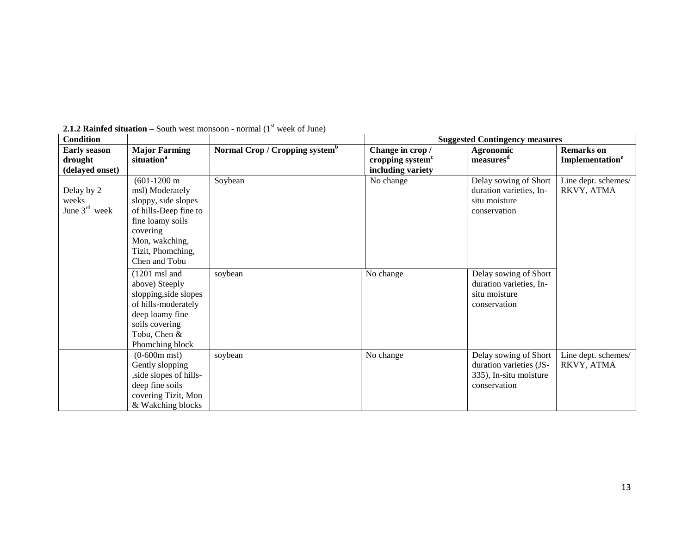| <b>Condition</b>    |                         |                                            | <b>Suggested Contingency measures</b> |                         |                             |
|---------------------|-------------------------|--------------------------------------------|---------------------------------------|-------------------------|-----------------------------|
| <b>Early season</b> | <b>Major Farming</b>    | Normal Crop / Cropping system <sup>b</sup> | Change in crop /                      | Agronomic               | <b>Remarks</b> on           |
| drought             | situation <sup>a</sup>  |                                            | cropping system <sup>c</sup>          | measures <sup>d</sup>   | Implementation <sup>e</sup> |
| (delayed onset)     |                         |                                            | including variety                     |                         |                             |
|                     | $(601-1200 \text{ m})$  | Soybean                                    | No change                             | Delay sowing of Short   | Line dept. schemes/         |
| Delay by 2          | msl) Moderately         |                                            |                                       | duration varieties, In- | RKVY, ATMA                  |
| weeks               | sloppy, side slopes     |                                            |                                       | situ moisture           |                             |
| June $3rd$ week     | of hills-Deep fine to   |                                            |                                       | conservation            |                             |
|                     | fine loamy soils        |                                            |                                       |                         |                             |
|                     | covering                |                                            |                                       |                         |                             |
|                     | Mon, wakching,          |                                            |                                       |                         |                             |
|                     | Tizit, Phomching,       |                                            |                                       |                         |                             |
|                     | Chen and Tobu           |                                            |                                       |                         |                             |
|                     | $(1201 \text{ ms1}$ and | soybean                                    | No change                             | Delay sowing of Short   |                             |
|                     | above) Steeply          |                                            |                                       | duration varieties, In- |                             |
|                     | slopping, side slopes   |                                            |                                       | situ moisture           |                             |
|                     | of hills-moderately     |                                            |                                       | conservation            |                             |
|                     | deep loamy fine         |                                            |                                       |                         |                             |
|                     | soils covering          |                                            |                                       |                         |                             |
|                     | Tobu, Chen &            |                                            |                                       |                         |                             |
|                     | Phomching block         |                                            |                                       |                         |                             |
|                     | $(0-600m$ msl)          | soybean                                    | No change                             | Delay sowing of Short   | Line dept. schemes/         |
|                     | Gently slopping         |                                            |                                       | duration varieties (JS- | RKVY, ATMA                  |
|                     | , side slopes of hills- |                                            |                                       | 335), In-situ moisture  |                             |
|                     | deep fine soils         |                                            |                                       | conservation            |                             |
|                     | covering Tizit, Mon     |                                            |                                       |                         |                             |
|                     | & Wakching blocks       |                                            |                                       |                         |                             |

**2.1.2 Rainfed situation** – South west monsoon - normal  $(1<sup>st</sup>$  week of June)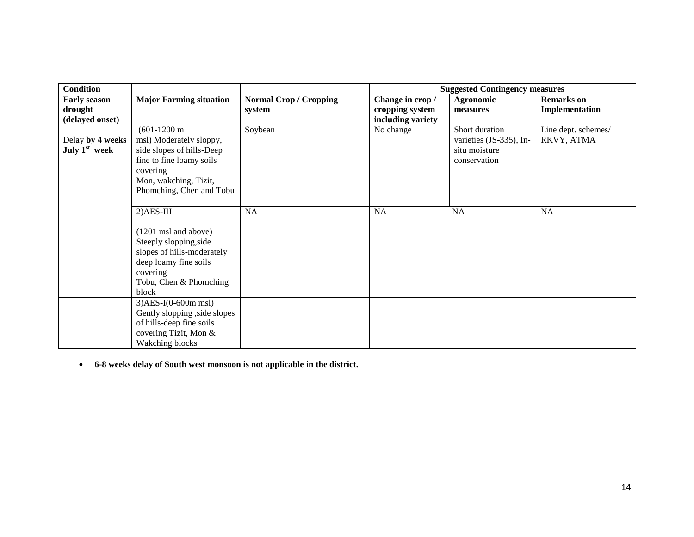| <b>Condition</b>                    |                                                                                                                                                                                |                                         | <b>Suggested Contingency measures</b> |                                                                            |                                     |
|-------------------------------------|--------------------------------------------------------------------------------------------------------------------------------------------------------------------------------|-----------------------------------------|---------------------------------------|----------------------------------------------------------------------------|-------------------------------------|
| <b>Early season</b><br>drought      | <b>Major Farming situation</b>                                                                                                                                                 | <b>Normal Crop / Cropping</b><br>system | Change in crop /<br>cropping system   | Agronomic<br>measures                                                      | <b>Remarks</b> on<br>Implementation |
| (delayed onset)                     |                                                                                                                                                                                |                                         | including variety                     |                                                                            |                                     |
| Delay by 4 weeks<br>July $1st$ week | $(601-1200 \text{ m})$<br>msl) Moderately sloppy,<br>side slopes of hills-Deep<br>fine to fine loamy soils<br>covering<br>Mon, wakching, Tizit,<br>Phomching, Chen and Tobu    | Soybean                                 | No change                             | Short duration<br>varieties (JS-335), In-<br>situ moisture<br>conservation | Line dept. schemes/<br>RKVY, ATMA   |
|                                     | $2)$ AES-III<br>$(1201 \text{ ms1}$ and above)<br>Steeply slopping, side<br>slopes of hills-moderately<br>deep loamy fine soils<br>covering<br>Tobu, Chen & Phomching<br>block | NA                                      | <b>NA</b>                             | NA                                                                         | NA                                  |
|                                     | $3)$ AES-I(0-600m msl)<br>Gently slopping , side slopes<br>of hills-deep fine soils<br>covering Tizit, Mon &<br>Wakching blocks                                                |                                         |                                       |                                                                            |                                     |

**6-8 weeks delay of South west monsoon is not applicable in the district.**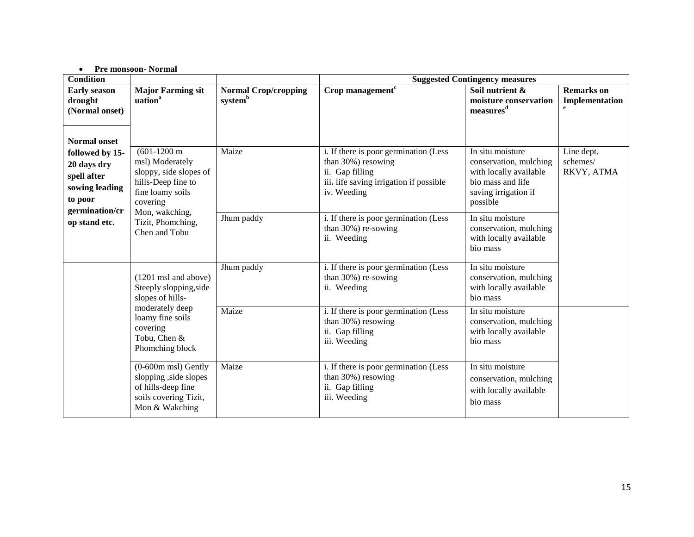#### **Pre monsoon- Normal**

| <b>Condition</b>                                                                                                    |                                                                                                                           |                                                    |                                                                                                                                          | <b>Suggested Contingency measures</b>                                                                                         |                                                     |
|---------------------------------------------------------------------------------------------------------------------|---------------------------------------------------------------------------------------------------------------------------|----------------------------------------------------|------------------------------------------------------------------------------------------------------------------------------------------|-------------------------------------------------------------------------------------------------------------------------------|-----------------------------------------------------|
| <b>Early season</b><br>drought<br>(Normal onset)                                                                    | <b>Major Farming sit</b><br>uation <sup>a</sup>                                                                           | <b>Normal Crop/cropping</b><br>system <sup>b</sup> | Crop management <sup>c</sup>                                                                                                             | Soil nutrient &<br>moisture conservation<br>measures <sup>d</sup>                                                             | <b>Remarks</b> on<br>Implementation<br>$\mathbf{e}$ |
| <b>Normal onset</b><br>followed by 15-<br>20 days dry<br>spell after<br>sowing leading<br>to poor<br>germination/cr | $(601-1200 \text{ m})$<br>msl) Moderately<br>sloppy, side slopes of<br>hills-Deep fine to<br>fine loamy soils<br>covering | Maize                                              | i. If there is poor germination (Less<br>than 30%) resowing<br>ii. Gap filling<br>iii. life saving irrigation if possible<br>iv. Weeding | In situ moisture<br>conservation, mulching<br>with locally available<br>bio mass and life<br>saving irrigation if<br>possible | Line dept.<br>schemes/<br>RKVY, ATMA                |
| op stand etc.                                                                                                       | Mon, wakching,<br>Tizit, Phomching,<br>Chen and Tobu                                                                      | Jhum paddy                                         | i. If there is poor germination (Less<br>than 30%) re-sowing<br>ii. Weeding                                                              | In situ moisture<br>conservation, mulching<br>with locally available<br>bio mass                                              |                                                     |
|                                                                                                                     | $(1201 \text{ ms1}$ and above)<br>Steeply slopping, side<br>slopes of hills-                                              | Jhum paddy                                         | i. If there is poor germination (Less<br>than $30\%$ ) re-sowing<br>ii. Weeding                                                          | In situ moisture<br>conservation, mulching<br>with locally available<br>bio mass                                              |                                                     |
|                                                                                                                     | moderately deep<br>loamy fine soils<br>covering<br>Tobu, Chen &<br>Phomching block                                        | Maize                                              | i. If there is poor germination (Less<br>than 30%) resowing<br>ii. Gap filling<br>iii. Weeding                                           | In situ moisture<br>conservation, mulching<br>with locally available<br>bio mass                                              |                                                     |
|                                                                                                                     | $(0-600m$ msl) Gently<br>slopping , side slopes<br>of hills-deep fine<br>soils covering Tizit,<br>Mon & Wakching          | Maize                                              | i. If there is poor germination (Less<br>than 30%) resowing<br>ii. Gap filling<br>iii. Weeding                                           | In situ moisture<br>conservation, mulching<br>with locally available<br>bio mass                                              |                                                     |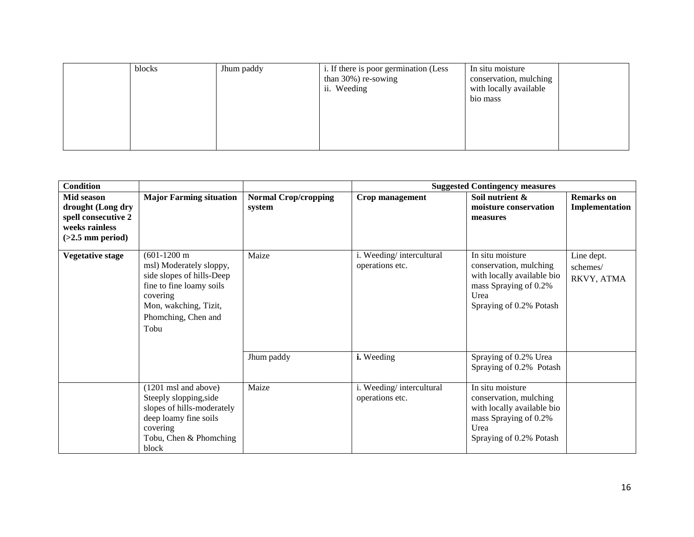| blocks | Jhum paddy | i. If there is poor germination (Less<br>than $30\%$ ) re-sowing<br>ii. Weeding | In situ moisture<br>conservation, mulching<br>with locally available<br>bio mass |  |
|--------|------------|---------------------------------------------------------------------------------|----------------------------------------------------------------------------------|--|
|        |            |                                                                                 |                                                                                  |  |

| <b>Condition</b>                                                                               |                                                                                                                                                                                |                                       | <b>Suggested Contingency measures</b>       |                                                                                                                                      |                                      |
|------------------------------------------------------------------------------------------------|--------------------------------------------------------------------------------------------------------------------------------------------------------------------------------|---------------------------------------|---------------------------------------------|--------------------------------------------------------------------------------------------------------------------------------------|--------------------------------------|
| Mid season<br>drought (Long dry<br>spell consecutive 2<br>weeks rainless<br>$(>2.5$ mm period) | <b>Major Farming situation</b>                                                                                                                                                 | <b>Normal Crop/cropping</b><br>system | Crop management                             | Soil nutrient &<br>moisture conservation<br>measures                                                                                 | <b>Remarks</b> on<br>Implementation  |
| <b>Vegetative stage</b>                                                                        | $(601-1200 \text{ m})$<br>msl) Moderately sloppy,<br>side slopes of hills-Deep<br>fine to fine loamy soils<br>covering<br>Mon, wakching, Tizit,<br>Phomching, Chen and<br>Tobu | Maize                                 | i. Weeding/intercultural<br>operations etc. | In situ moisture<br>conservation, mulching<br>with locally available bio<br>mass Spraying of 0.2%<br>Urea<br>Spraying of 0.2% Potash | Line dept.<br>schemes/<br>RKVY, ATMA |
|                                                                                                |                                                                                                                                                                                | Jhum paddy                            | i. Weeding                                  | Spraying of 0.2% Urea<br>Spraying of 0.2% Potash                                                                                     |                                      |
|                                                                                                | $(1201 \text{ msl}$ and above)<br>Steeply slopping, side<br>slopes of hills-moderately<br>deep loamy fine soils<br>covering<br>Tobu, Chen & Phomching<br>block                 | Maize                                 | i. Weeding/intercultural<br>operations etc. | In situ moisture<br>conservation, mulching<br>with locally available bio<br>mass Spraying of 0.2%<br>Urea<br>Spraying of 0.2% Potash |                                      |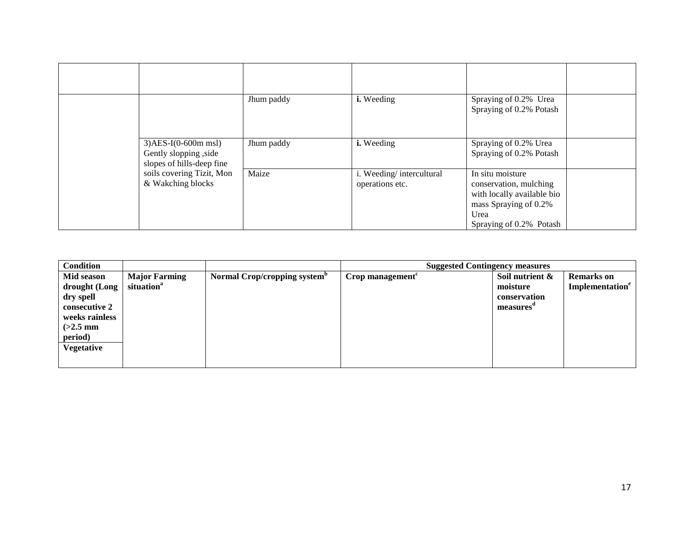|                                                                              | Jhum paddy | i. Weeding                                  | Spraying of 0.2% Urea<br>Spraying of 0.2% Potash                                                                                     |  |
|------------------------------------------------------------------------------|------------|---------------------------------------------|--------------------------------------------------------------------------------------------------------------------------------------|--|
| $3)$ AES-I(0-600m msl)<br>Gently slopping, side<br>slopes of hills-deep fine | Jhum paddy | i. Weeding                                  | Spraying of 0.2% Urea<br>Spraying of 0.2% Potash                                                                                     |  |
| soils covering Tizit, Mon<br>& Wakching blocks                               | Maize      | i. Weeding/intercultural<br>operations etc. | In situ moisture<br>conservation, mulching<br>with locally available bio<br>mass Spraying of 0.2%<br>Urea<br>Spraying of 0.2% Potash |  |

| <b>Condition</b>                                                                                                          |                                                |                                          | <b>Suggested Contingency measures</b> |                                                             |                                                  |
|---------------------------------------------------------------------------------------------------------------------------|------------------------------------------------|------------------------------------------|---------------------------------------|-------------------------------------------------------------|--------------------------------------------------|
| Mid season<br>drought (Long<br>dry spell<br>consecutive 2<br>weeks rainless<br>$(>2.5$ mm<br>period)<br><b>Vegetative</b> | <b>Major Farming</b><br>situation <sup>a</sup> | Normal Crop/cropping system <sup>p</sup> | Crop management                       | Soil nutrient $\&$<br>moisture<br>conservation<br>measures" | <b>Remarks</b> on<br>Implementation <sup>e</sup> |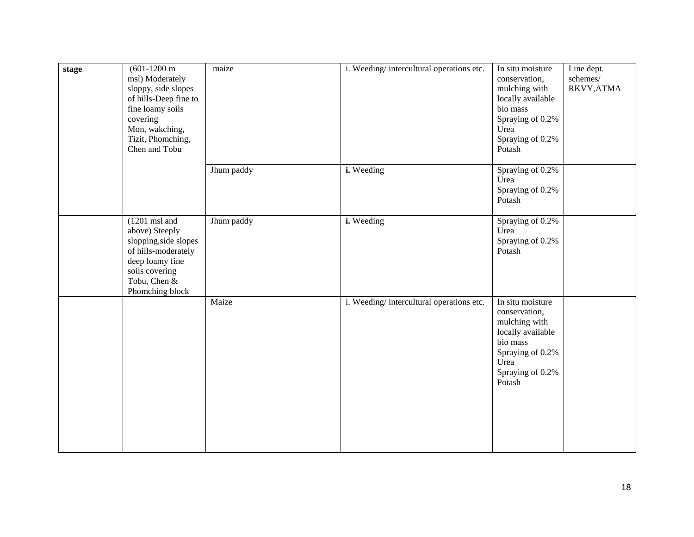| stage | $(601-1200 \text{ m})$<br>msl) Moderately<br>sloppy, side slopes<br>of hills-Deep fine to<br>fine loamy soils<br>covering<br>Mon, wakching,<br>Tizit, Phomching,<br>Chen and Tobu | maize      | i. Weeding/intercultural operations etc. | In situ moisture<br>conservation,<br>mulching with<br>locally available<br>bio mass<br>Spraying of 0.2%<br>Urea<br>Spraying of 0.2%<br>Potash | Line dept.<br>schemes/<br>RKVY, ATMA |
|-------|-----------------------------------------------------------------------------------------------------------------------------------------------------------------------------------|------------|------------------------------------------|-----------------------------------------------------------------------------------------------------------------------------------------------|--------------------------------------|
|       |                                                                                                                                                                                   | Jhum paddy | i. Weeding                               | Spraying of 0.2%<br>Urea<br>Spraying of 0.2%<br>Potash                                                                                        |                                      |
|       | $(1201 \text{ ms1}$ and<br>above) Steeply<br>slopping, side slopes<br>of hills-moderately<br>deep loamy fine<br>soils covering<br>Tobu, Chen &<br>Phomching block                 | Jhum paddy | i. Weeding                               | Spraying of 0.2%<br>Urea<br>Spraying of 0.2%<br>Potash                                                                                        |                                      |
|       |                                                                                                                                                                                   | Maize      | i. Weeding/intercultural operations etc. | In situ moisture<br>conservation,<br>mulching with<br>locally available<br>bio mass<br>Spraying of 0.2%<br>Urea<br>Spraying of 0.2%<br>Potash |                                      |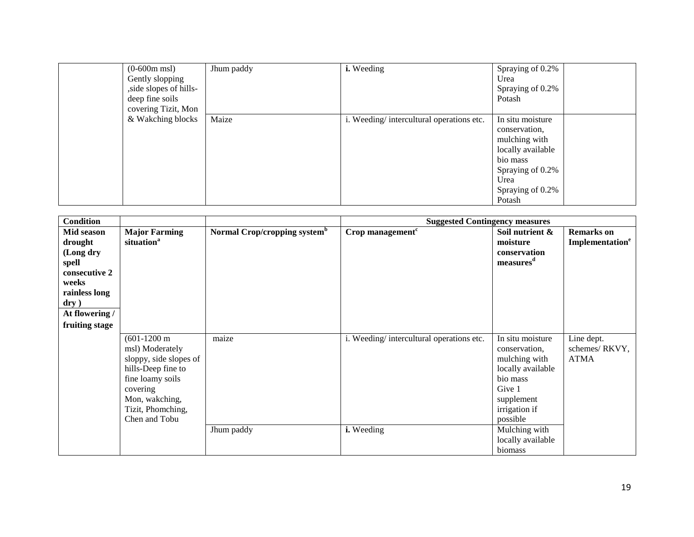| $(0-600m$ msl)<br>Gently slopping<br>, side slopes of hills-<br>deep fine soils<br>covering Tizit, Mon | Jhum paddy | i. Weeding                               | Spraying of 0.2%<br>Urea<br>Spraying of 0.2%<br>Potash                                                                                        |
|--------------------------------------------------------------------------------------------------------|------------|------------------------------------------|-----------------------------------------------------------------------------------------------------------------------------------------------|
| & Wakching blocks                                                                                      | Maize      | i. Weeding/intercultural operations etc. | In situ moisture<br>conservation,<br>mulching with<br>locally available<br>bio mass<br>Spraying of 0.2%<br>Urea<br>Spraying of 0.2%<br>Potash |

| <b>Condition</b>                                                                                                                               |                                                                                                                                                                                   |                                          | <b>Suggested Contingency measures</b>                  |                                                                                                                                                                                           |                                                        |
|------------------------------------------------------------------------------------------------------------------------------------------------|-----------------------------------------------------------------------------------------------------------------------------------------------------------------------------------|------------------------------------------|--------------------------------------------------------|-------------------------------------------------------------------------------------------------------------------------------------------------------------------------------------------|--------------------------------------------------------|
| Mid season<br>drought<br>(Long dry<br>spell<br>consecutive 2<br>weeks<br>rainless long<br>$\mathbf{dry}$ )<br>At flowering /<br>fruiting stage | <b>Major Farming</b><br>situation <sup>a</sup>                                                                                                                                    | Normal Crop/cropping system <sup>b</sup> | Crop management <sup>c</sup>                           | Soil nutrient $\&$<br>moisture<br>conservation<br>measures <sup>d</sup>                                                                                                                   | <b>Remarks</b> on<br><b>Implementation<sup>e</sup></b> |
|                                                                                                                                                | $(601-1200 \text{ m})$<br>msl) Moderately<br>sloppy, side slopes of<br>hills-Deep fine to<br>fine loamy soils<br>covering<br>Mon, wakching,<br>Tizit, Phomching,<br>Chen and Tobu | maize<br>Jhum paddy                      | i. Weeding/intercultural operations etc.<br>i. Weeding | In situ moisture<br>conservation,<br>mulching with<br>locally available<br>bio mass<br>Give 1<br>supplement<br>irrigation if<br>possible<br>Mulching with<br>locally available<br>biomass | Line dept.<br>schemes/RKVY,<br><b>ATMA</b>             |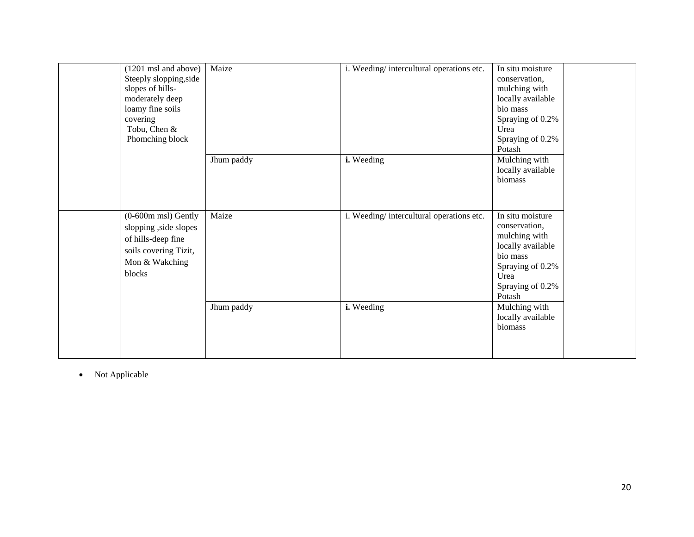| (1201 msl and above)<br>Steeply slopping, side<br>slopes of hills-<br>moderately deep<br>loamy fine soils<br>covering<br>Tobu, Chen &<br>Phomching block | Maize      | i. Weeding/intercultural operations etc. | In situ moisture<br>conservation,<br>mulching with<br>locally available<br>bio mass<br>Spraying of 0.2%<br>Urea<br>Spraying of 0.2%<br>Potash |
|----------------------------------------------------------------------------------------------------------------------------------------------------------|------------|------------------------------------------|-----------------------------------------------------------------------------------------------------------------------------------------------|
|                                                                                                                                                          | Jhum paddy | i. Weeding                               | Mulching with<br>locally available<br>biomass                                                                                                 |
| $(0-600m$ msl) Gently<br>slopping , side slopes<br>of hills-deep fine<br>soils covering Tizit,<br>Mon & Wakching<br>blocks                               | Maize      | i. Weeding/intercultural operations etc. | In situ moisture<br>conservation,<br>mulching with<br>locally available<br>bio mass<br>Spraying of 0.2%<br>Urea<br>Spraying of 0.2%<br>Potash |
|                                                                                                                                                          | Jhum paddy | i. Weeding                               | Mulching with<br>locally available<br>biomass                                                                                                 |

• Not Applicable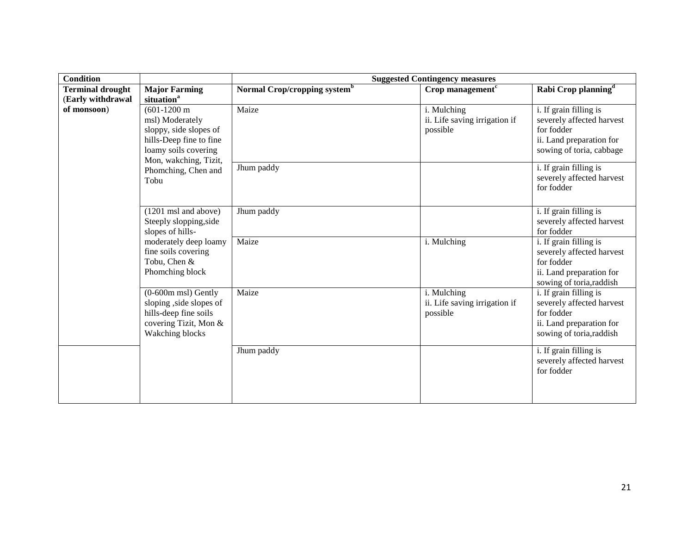| <b>Condition</b>                             |                                                                                                                                                 | <b>Suggested Contingency measures</b>    |                                                          |                                                                                                                           |  |
|----------------------------------------------|-------------------------------------------------------------------------------------------------------------------------------------------------|------------------------------------------|----------------------------------------------------------|---------------------------------------------------------------------------------------------------------------------------|--|
| <b>Terminal drought</b><br>(Early withdrawal | <b>Major Farming</b><br>situation <sup>a</sup>                                                                                                  | Normal Crop/cropping system <sup>b</sup> | Crop management <sup>c</sup>                             | Rabi Crop planning <sup>d</sup>                                                                                           |  |
| of monsoon)                                  | $(601-1200 \text{ m})$<br>msl) Moderately<br>sloppy, side slopes of<br>hills-Deep fine to fine<br>loamy soils covering<br>Mon, wakching, Tizit, | Maize                                    | i. Mulching<br>ii. Life saving irrigation if<br>possible | i. If grain filling is<br>severely affected harvest<br>for fodder<br>ii. Land preparation for<br>sowing of toria, cabbage |  |
|                                              | Phomching, Chen and<br>Tobu                                                                                                                     | Jhum paddy                               |                                                          | i. If grain filling is<br>severely affected harvest<br>for fodder                                                         |  |
|                                              | $(1201 \text{ msl}$ and above)<br>Steeply slopping, side<br>slopes of hills-                                                                    | Jhum paddy                               |                                                          | i. If grain filling is<br>severely affected harvest<br>for fodder                                                         |  |
|                                              | moderately deep loamy<br>fine soils covering<br>Tobu, Chen &<br>Phomching block                                                                 | Maize                                    | i. Mulching                                              | i. If grain filling is<br>severely affected harvest<br>for fodder<br>ii. Land preparation for<br>sowing of toria, raddish |  |
|                                              | $(0-600m$ msl) Gently<br>sloping, side slopes of<br>hills-deep fine soils<br>covering Tizit, Mon &<br>Wakching blocks                           | Maize                                    | i. Mulching<br>ii. Life saving irrigation if<br>possible | i. If grain filling is<br>severely affected harvest<br>for fodder<br>ii. Land preparation for<br>sowing of toria, raddish |  |
|                                              |                                                                                                                                                 | Jhum paddy                               |                                                          | i. If grain filling is<br>severely affected harvest<br>for fodder                                                         |  |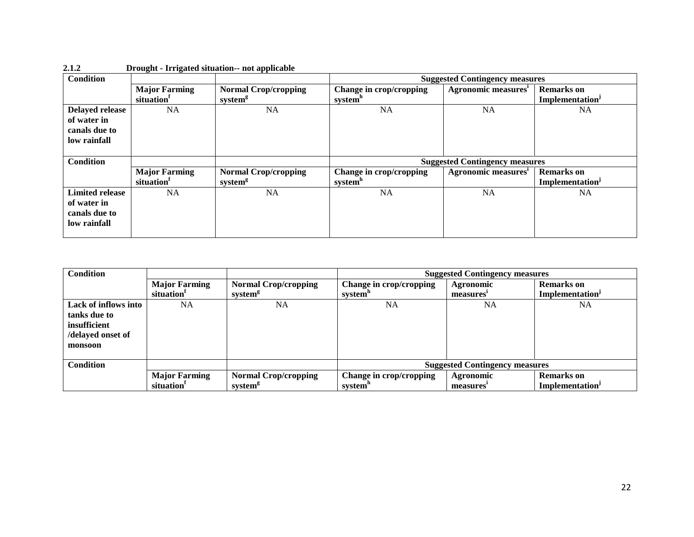| <b>Condition</b>                                                |                                                |                                                    | <b>Suggested Contingency measures</b>          |                                 |                                                  |  |
|-----------------------------------------------------------------|------------------------------------------------|----------------------------------------------------|------------------------------------------------|---------------------------------|--------------------------------------------------|--|
|                                                                 | <b>Major Farming</b><br>situation              | <b>Normal Crop/cropping</b><br>system <sup>g</sup> | Change in crop/cropping<br>system <sup>n</sup> | Agronomic measures <sup>1</sup> | <b>Remarks</b> on<br>Implementation <sup>J</sup> |  |
| Delayed release<br>of water in<br>canals due to<br>low rainfall | NA                                             | <b>NA</b>                                          | <b>NA</b>                                      | <b>NA</b>                       | <b>NA</b>                                        |  |
|                                                                 |                                                |                                                    | <b>Suggested Contingency measures</b>          |                                 |                                                  |  |
| <b>Condition</b>                                                |                                                |                                                    |                                                |                                 |                                                  |  |
|                                                                 | <b>Major Farming</b><br>situation <sup>1</sup> | <b>Normal Crop/cropping</b><br>system <sup>g</sup> | Change in crop/cropping<br>system <sup>h</sup> | Agronomic measures <sup>1</sup> | <b>Remarks</b> on<br>Implementation <sup>j</sup> |  |

| 2.1.2 |  | Drought - Irrigated situation-- not applicable |
|-------|--|------------------------------------------------|
|       |  |                                                |

| <b>Condition</b>     |                        |                             | <b>Suggested Contingency measures</b> |                       |                             |  |
|----------------------|------------------------|-----------------------------|---------------------------------------|-----------------------|-----------------------------|--|
|                      | <b>Major Farming</b>   | <b>Normal Crop/cropping</b> | Change in crop/cropping               | Agronomic             | <b>Remarks</b> on           |  |
|                      | situation <sup>1</sup> | system <sup>g</sup>         | system <sup>n</sup>                   | measures'             | Implementation <sup>J</sup> |  |
| Lack of inflows into | <b>NA</b>              | NA                          | <b>NA</b>                             | <b>NA</b>             | NA                          |  |
| tanks due to         |                        |                             |                                       |                       |                             |  |
| insufficient         |                        |                             |                                       |                       |                             |  |
| /delayed onset of    |                        |                             |                                       |                       |                             |  |
| monsoon              |                        |                             |                                       |                       |                             |  |
|                      |                        |                             |                                       |                       |                             |  |
| <b>Condition</b>     |                        |                             | <b>Suggested Contingency measures</b> |                       |                             |  |
|                      | <b>Major Farming</b>   | <b>Normal Crop/cropping</b> | Change in crop/cropping               | Agronomic             | <b>Remarks</b> on           |  |
|                      | situation <sup>1</sup> | system <sup>8</sup>         | system <sup>"</sup>                   | measures <sup>*</sup> | Implementation'             |  |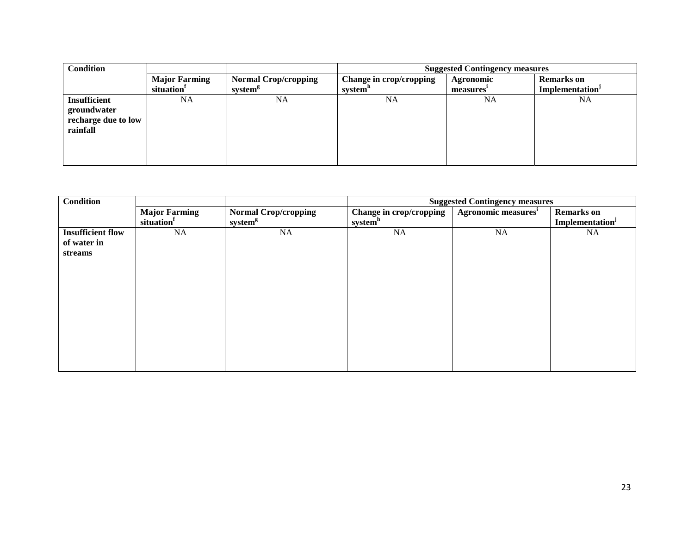| <b>Condition</b>    |                      |                             | <b>Suggested Contingency measures</b> |           |                             |  |
|---------------------|----------------------|-----------------------------|---------------------------------------|-----------|-----------------------------|--|
|                     | <b>Major Farming</b> | <b>Normal Crop/cropping</b> | Change in crop/cropping               | Agronomic | <b>Remarks</b> on           |  |
|                     | situation            | system <sup>g</sup>         | system <sup>n</sup>                   | measures' | Implementation <sup>J</sup> |  |
| <b>Insufficient</b> | NA                   | <b>NA</b>                   | NA                                    | NA        | <b>NA</b>                   |  |
| groundwater         |                      |                             |                                       |           |                             |  |
| recharge due to low |                      |                             |                                       |           |                             |  |
| rainfall            |                      |                             |                                       |           |                             |  |
|                     |                      |                             |                                       |           |                             |  |
|                     |                      |                             |                                       |           |                             |  |
|                     |                      |                             |                                       |           |                             |  |

| Condition                |                      |                             | <b>Suggested Contingency measures</b> |                                 |                   |
|--------------------------|----------------------|-----------------------------|---------------------------------------|---------------------------------|-------------------|
|                          | <b>Major Farming</b> | <b>Normal Crop/cropping</b> | Change in crop/cropping               | Agronomic measures <sup>i</sup> | <b>Remarks</b> on |
|                          | situation            | system <sup>g</sup>         | system <sup>h</sup>                   |                                 | Implementation    |
| <b>Insufficient flow</b> | NA                   | NA                          | NA                                    | <b>NA</b>                       | <b>NA</b>         |
| of water in              |                      |                             |                                       |                                 |                   |
| streams                  |                      |                             |                                       |                                 |                   |
|                          |                      |                             |                                       |                                 |                   |
|                          |                      |                             |                                       |                                 |                   |
|                          |                      |                             |                                       |                                 |                   |
|                          |                      |                             |                                       |                                 |                   |
|                          |                      |                             |                                       |                                 |                   |
|                          |                      |                             |                                       |                                 |                   |
|                          |                      |                             |                                       |                                 |                   |
|                          |                      |                             |                                       |                                 |                   |
|                          |                      |                             |                                       |                                 |                   |
|                          |                      |                             |                                       |                                 |                   |
|                          |                      |                             |                                       |                                 |                   |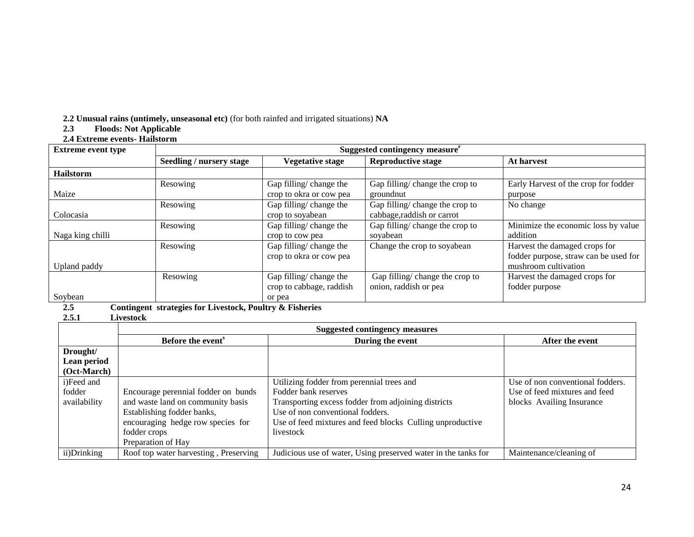**2.2 Unusual rains (untimely, unseasonal etc)** (for both rainfed and irrigated situations) NA<br>**2.3** Floods: Not Applicable

#### **2.3 Floods: Not Applicable**

#### **2.4 Extreme events- Hailstorm**

| <b>Extreme event type</b> | Suggested contingency measure <sup>r</sup> |                          |                                 |                                       |  |  |
|---------------------------|--------------------------------------------|--------------------------|---------------------------------|---------------------------------------|--|--|
|                           | Seedling / nursery stage                   | Vegetative stage         | <b>Reproductive stage</b>       | At harvest                            |  |  |
| <b>Hailstorm</b>          |                                            |                          |                                 |                                       |  |  |
|                           | Resowing                                   | Gap filling/change the   | Gap filling/ change the crop to | Early Harvest of the crop for fodder  |  |  |
| Maize                     |                                            | crop to okra or cow pea  | groundnut                       | purpose                               |  |  |
|                           | Resowing                                   | Gap filling/change the   | Gap filling/ change the crop to | No change                             |  |  |
| Colocasia                 |                                            | crop to soyabean         | cabbage, raddish or carrot      |                                       |  |  |
|                           | Resowing                                   | Gap filling/change the   | Gap filling/ change the crop to | Minimize the economic loss by value   |  |  |
| Naga king chilli          |                                            | crop to cow pea          | soyabean                        | addition                              |  |  |
|                           | Resowing                                   | Gap filling/ change the  | Change the crop to soyabean     | Harvest the damaged crops for         |  |  |
|                           |                                            | crop to okra or cow pea  |                                 | fodder purpose, straw can be used for |  |  |
| Upland paddy              |                                            |                          |                                 | mushroom cultivation                  |  |  |
|                           | Resowing                                   | Gap filling/change the   | Gap filling/change the crop to  | Harvest the damaged crops for         |  |  |
|                           |                                            | crop to cabbage, raddish | onion, raddish or pea           | fodder purpose                        |  |  |
| Soybean                   |                                            | or pea                   |                                 |                                       |  |  |

# **2.5 Contingent strategies for Livestock, Poultry & Fisheries**

## **2.5.1 Livestock**

|              | <b>Suggested contingency measures</b> |                                                                |                                  |  |  |
|--------------|---------------------------------------|----------------------------------------------------------------|----------------------------------|--|--|
|              | Before the event <sup>s</sup>         | During the event                                               | After the event                  |  |  |
| Drought/     |                                       |                                                                |                                  |  |  |
| Lean period  |                                       |                                                                |                                  |  |  |
| (Oct-March)  |                                       |                                                                |                                  |  |  |
| i)Feed and   |                                       | Utilizing fodder from perennial trees and                      | Use of non conventional fodders. |  |  |
| fodder       | Encourage perennial fodder on bunds   | Fodder bank reserves                                           | Use of feed mixtures and feed    |  |  |
| availability | and waste land on community basis     | Transporting excess fodder from adjoining districts            | blocks Availing Insurance        |  |  |
|              | Establishing fodder banks,            | Use of non conventional fodders.                               |                                  |  |  |
|              | encouraging hedge row species for     | Use of feed mixtures and feed blocks Culling unproductive      |                                  |  |  |
|              | fodder crops                          | livestock                                                      |                                  |  |  |
|              | Preparation of Hay                    |                                                                |                                  |  |  |
| ii)Drinking  | Roof top water harvesting, Preserving | Judicious use of water, Using preserved water in the tanks for | Maintenance/cleaning of          |  |  |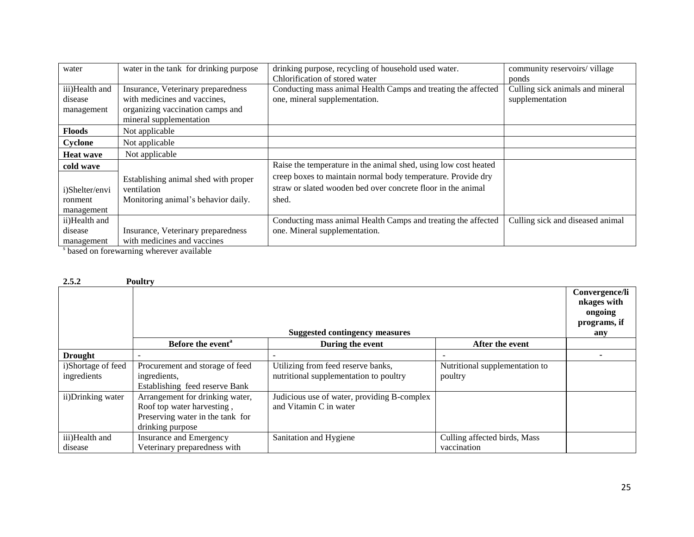| water                                   | water in the tank for drinking purpose | drinking purpose, recycling of household used water.            | community reservoirs/village     |  |
|-----------------------------------------|----------------------------------------|-----------------------------------------------------------------|----------------------------------|--|
|                                         |                                        | Chlorification of stored water                                  |                                  |  |
|                                         |                                        |                                                                 | ponds                            |  |
| iii)Health and                          | Insurance, Veterinary preparedness     | Conducting mass animal Health Camps and treating the affected   | Culling sick animals and mineral |  |
| disease                                 | with medicines and vaccines,           | one, mineral supplementation.                                   | supplementation                  |  |
| management                              | organizing vaccination camps and       |                                                                 |                                  |  |
|                                         | mineral supplementation                |                                                                 |                                  |  |
| <b>Floods</b>                           | Not applicable                         |                                                                 |                                  |  |
| Cyclone                                 | Not applicable                         |                                                                 |                                  |  |
| <b>Heat wave</b>                        | Not applicable                         |                                                                 |                                  |  |
| cold wave                               |                                        | Raise the temperature in the animal shed, using low cost heated |                                  |  |
|                                         | Establishing animal shed with proper   | creep boxes to maintain normal body temperature. Provide dry    |                                  |  |
| i)Shelter/envi                          | ventilation                            | straw or slated wooden bed over concrete floor in the animal    |                                  |  |
| ronment                                 | Monitoring animal's behavior daily.    | shed.                                                           |                                  |  |
| management                              |                                        |                                                                 |                                  |  |
| ii)Health and                           |                                        | Conducting mass animal Health Camps and treating the affected   | Culling sick and diseased animal |  |
| disease                                 | Insurance, Veterinary preparedness     | one. Mineral supplementation.                                   |                                  |  |
| management                              | with medicines and vaccines            |                                                                 |                                  |  |
| based on forewarning wherever available |                                        |                                                                 |                                  |  |

| 2.5.2              | <b>Poultry</b>                        |                                             |                                |                |
|--------------------|---------------------------------------|---------------------------------------------|--------------------------------|----------------|
|                    |                                       |                                             |                                | Convergence/li |
|                    |                                       |                                             |                                | nkages with    |
|                    |                                       |                                             |                                | ongoing        |
|                    |                                       |                                             |                                | programs, if   |
|                    | <b>Suggested contingency measures</b> |                                             |                                | any            |
|                    | Before the event <sup>a</sup>         | During the event                            | After the event                |                |
| <b>Drought</b>     |                                       |                                             |                                |                |
| i)Shortage of feed | Procurement and storage of feed       | Utilizing from feed reserve banks,          | Nutritional supplementation to |                |
| ingredients        | ingredients,                          | nutritional supplementation to poultry      | poultry                        |                |
|                    | Establishing feed reserve Bank        |                                             |                                |                |
| ii)Drinking water  | Arrangement for drinking water,       | Judicious use of water, providing B-complex |                                |                |
|                    | Roof top water harvesting,            | and Vitamin C in water                      |                                |                |
|                    | Preserving water in the tank for      |                                             |                                |                |
|                    | drinking purpose                      |                                             |                                |                |
| iii)Health and     | Insurance and Emergency               | Sanitation and Hygiene                      | Culling affected birds, Mass   |                |
| disease            | Veterinary preparedness with          |                                             | vaccination                    |                |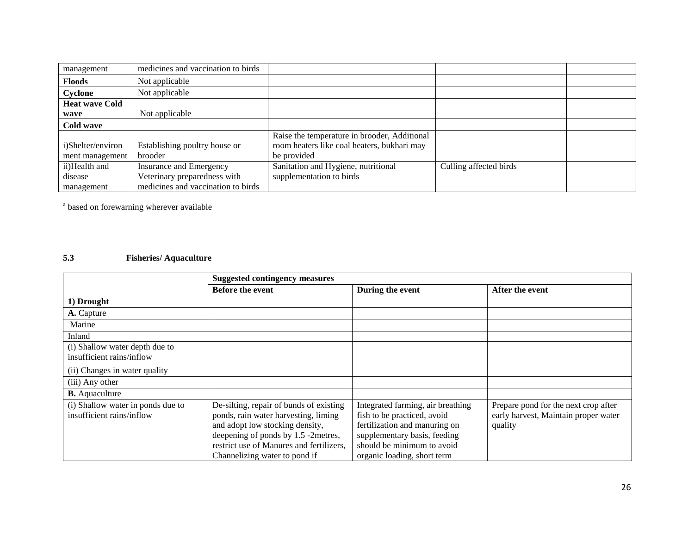| management            | medicines and vaccination to birds |                                              |                        |  |
|-----------------------|------------------------------------|----------------------------------------------|------------------------|--|
| <b>Floods</b>         | Not applicable                     |                                              |                        |  |
| Cyclone               | Not applicable                     |                                              |                        |  |
| <b>Heat wave Cold</b> |                                    |                                              |                        |  |
| wave                  | Not applicable                     |                                              |                        |  |
| Cold wave             |                                    |                                              |                        |  |
|                       |                                    | Raise the temperature in brooder, Additional |                        |  |
| i)Shelter/environ     | Establishing poultry house or      | room heaters like coal heaters, bukhari may  |                        |  |
| ment management       | brooder                            | be provided                                  |                        |  |
| ii)Health and         | Insurance and Emergency            | Sanitation and Hygiene, nutritional          | Culling affected birds |  |
| disease               | Veterinary preparedness with       | supplementation to birds                     |                        |  |
| management            | medicines and vaccination to birds |                                              |                        |  |

<sup>a</sup> based on forewarning wherever available

## **5.3 Fisheries/ Aquaculture**

|                                                                | <b>Suggested contingency measures</b>                                                                                                                                                                                                  |                                                                                                                                                                                                |                                                                                         |
|----------------------------------------------------------------|----------------------------------------------------------------------------------------------------------------------------------------------------------------------------------------------------------------------------------------|------------------------------------------------------------------------------------------------------------------------------------------------------------------------------------------------|-----------------------------------------------------------------------------------------|
|                                                                | <b>Before the event</b>                                                                                                                                                                                                                | During the event                                                                                                                                                                               | After the event                                                                         |
| 1) Drought                                                     |                                                                                                                                                                                                                                        |                                                                                                                                                                                                |                                                                                         |
| A. Capture                                                     |                                                                                                                                                                                                                                        |                                                                                                                                                                                                |                                                                                         |
| Marine                                                         |                                                                                                                                                                                                                                        |                                                                                                                                                                                                |                                                                                         |
| Inland                                                         |                                                                                                                                                                                                                                        |                                                                                                                                                                                                |                                                                                         |
| (i) Shallow water depth due to<br>insufficient rains/inflow    |                                                                                                                                                                                                                                        |                                                                                                                                                                                                |                                                                                         |
| (ii) Changes in water quality                                  |                                                                                                                                                                                                                                        |                                                                                                                                                                                                |                                                                                         |
| (iii) Any other                                                |                                                                                                                                                                                                                                        |                                                                                                                                                                                                |                                                                                         |
| <b>B.</b> Aquaculture                                          |                                                                                                                                                                                                                                        |                                                                                                                                                                                                |                                                                                         |
| (i) Shallow water in ponds due to<br>insufficient rains/inflow | De-silting, repair of bunds of existing<br>ponds, rain water harvesting, liming<br>and adopt low stocking density,<br>deepening of ponds by 1.5 -2metres,<br>restrict use of Manures and fertilizers,<br>Channelizing water to pond if | Integrated farming, air breathing<br>fish to be practiced, avoid<br>fertilization and manuring on<br>supplementary basis, feeding<br>should be minimum to avoid<br>organic loading, short term | Prepare pond for the next crop after<br>early harvest, Maintain proper water<br>quality |